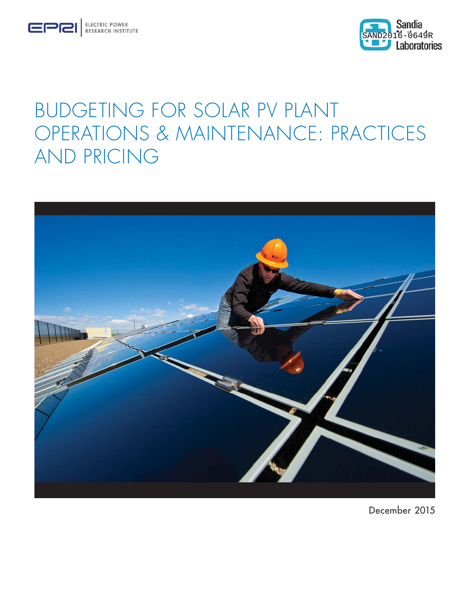



# BUDGETING FOR SOLAR PV PLANT OPERATIONS & MAINTENANCE: PRACTICES AND PRICING



December 2015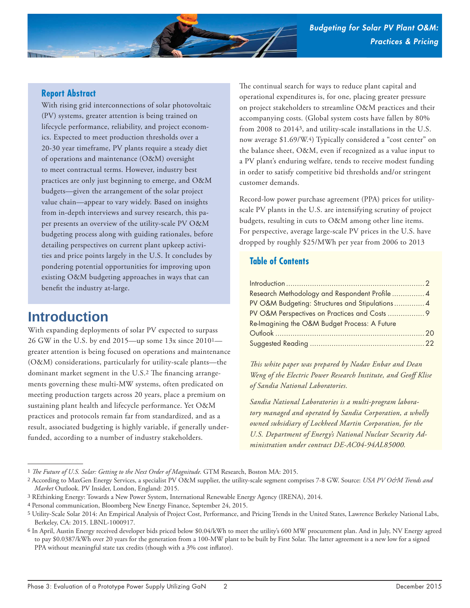

#### **Report Abstract**

With rising grid interconnections of solar photovoltaic (PV) systems, greater attention is being trained on lifecycle performance, reliability, and project economics. Expected to meet production thresholds over a 20-30 year timeframe, PV plants require a steady diet of operations and maintenance (O&M) oversight to meet contractual terms. However, industry best practices are only just beginning to emerge, and O&M budgets—given the arrangement of the solar project value chain—appear to vary widely. Based on insights from in-depth interviews and survey research, this paper presents an overview of the utility-scale PV O&M budgeting process along with guiding rationales, before detailing perspectives on current plant upkeep activities and price points largely in the U.S. It concludes by pondering potential opportunities for improving upon existing O&M budgeting approaches in ways that can benefit the industry at-large.

# **Introduction**

With expanding deployments of solar PV expected to surpass 26 GW in the U.S. by end 2015—up some 13x since 20101 greater attention is being focused on operations and maintenance (O&M) considerations, particularly for utility-scale plants—the dominant market segment in the U.S.<sup>2</sup> The financing arrangements governing these multi-MW systems, often predicated on meeting production targets across 20 years, place a premium on sustaining plant health and lifecycle performance. Yet O&M practices and protocols remain far from standardized, and as a result, associated budgeting is highly variable, if generally underfunded, according to a number of industry stakeholders.

The continual search for ways to reduce plant capital and operational expenditures is, for one, placing greater pressure on project stakeholders to streamline O&M practices and their accompanying costs. (Global system costs have fallen by 80% from 2008 to 20143, and utility-scale installations in the U.S. now average \$1.69/W.4) Typically considered a "cost center" on the balance sheet, O&M, even if recognized as a value input to a PV plant's enduring welfare, tends to receive modest funding in order to satisfy competitive bid thresholds and/or stringent customer demands.

Record-low power purchase agreement (PPA) prices for utilityscale PV plants in the U.S. are intensifying scrutiny of project budgets, resulting in cuts to O&M among other line items. For perspective, average large-scale PV prices in the U.S. have dropped by roughly \$25/MWh per year from 2006 to 2013

### **Table of Contents**

| $Introduction \dots 12$                         |  |
|-------------------------------------------------|--|
| Research Methodology and Respondent Profile  4  |  |
| PV O&M Budgeting: Structures and Stipulations 4 |  |
|                                                 |  |
| Re-Imagining the O&M Budget Process: A Future   |  |
|                                                 |  |
|                                                 |  |

*This white paper was prepared by Nadav Enbar and Dean Weng of the Electric Power Research Institute, and Geoff Klise of Sandia National Laboratories.*

*Sandia National Laboratories is a multi-program laboratory managed and operated by Sandia Corporation, a wholly owned subsidiary of Lockheed Martin Corporation, for the U.S. Department of Energy's National Nuclear Security Administration under contract DE-AC04-94AL85000.*

<sup>&</sup>lt;sup>1</sup> The Future of U.S. Solar: Getting to the Next Order of Magnitude. GTM Research, Boston MA: 2015.

<sup>2</sup> According to MaxGen Energy Services, a specialist PV O&M supplier, the utility-scale segment comprises 7-8 GW. Source: *USA PV O&M Trends and Market* Outlook. PV Insider, London, England: 2015.

<sup>3</sup> REthinking Energy: Towards a New Power System, International Renewable Energy Agency (IRENA), 2014.

<sup>4</sup> Personal communication, Bloomberg New Energy Finance, September 24, 2015.

<sup>5</sup> Utility-Scale Solar 2014: An Empirical Analysis of Project Cost, Performance, and Pricing Trends in the United States, Lawrence Berkeley National Labs, Berkeley, CA: 2015. LBNL-1000917.

<sup>6</sup> In April, Austin Energy received developer bids priced below \$0.04/kWh to meet the utility's 600 MW procurement plan. And in July, NV Energy agreed to pay \$0.0387/kWh over 20 years for the generation from a 100-MW plant to be built by First Solar. The latter agreement is a new low for a signed PPA without meaningful state tax credits (though with a 3% cost inflator).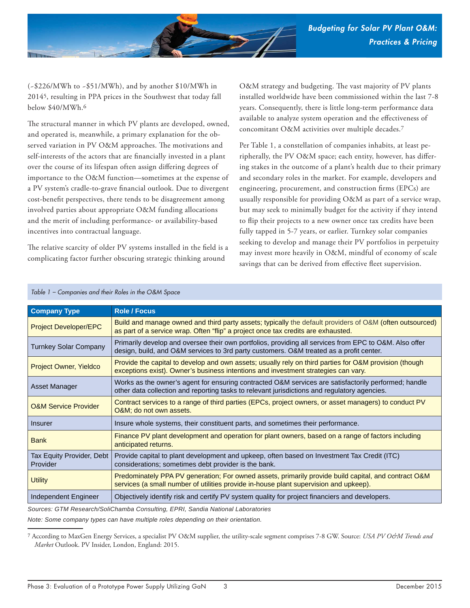

(~\$226/MWh to ~\$51/MWh), and by another \$10/MWh in 20145, resulting in PPA prices in the Southwest that today fall below \$40/MWh.6

The structural manner in which PV plants are developed, owned, and operated is, meanwhile, a primary explanation for the observed variation in PV O&M approaches. The motivations and self-interests of the actors that are financially invested in a plant over the course of its lifespan often assign differing degrees of importance to the O&M function—sometimes at the expense of a PV system's cradle-to-grave financial outlook. Due to divergent cost-benefit perspectives, there tends to be disagreement among involved parties about appropriate O&M funding allocations and the merit of including performance- or availability-based incentives into contractual language.

The relative scarcity of older PV systems installed in the field is a complicating factor further obscuring strategic thinking around

O&M strategy and budgeting. The vast majority of PV plants installed worldwide have been commissioned within the last 7-8 years. Consequently, there is little long-term performance data available to analyze system operation and the effectiveness of concomitant O&M activities over multiple decades.7

Per Table 1, a constellation of companies inhabits, at least peripherally, the PV O&M space; each entity, however, has differing stakes in the outcome of a plant's health due to their primary and secondary roles in the market. For example, developers and engineering, procurement, and construction firms (EPCs) are usually responsible for providing O&M as part of a service wrap, but may seek to minimally budget for the activity if they intend to flip their projects to a new owner once tax credits have been fully tapped in 5-7 years, or earlier. Turnkey solar companies seeking to develop and manage their PV portfolios in perpetuity may invest more heavily in O&M, mindful of economy of scale savings that can be derived from effective fleet supervision.

| <b>Role / Focus</b>                                                                                                                                                                                  |
|------------------------------------------------------------------------------------------------------------------------------------------------------------------------------------------------------|
| Build and manage owned and third party assets; typically the default providers of O&M (often outsourced)<br>as part of a service wrap. Often "flip" a project once tax credits are exhausted.        |
| Primarily develop and oversee their own portfolios, providing all services from EPC to O&M. Also offer<br>design, build, and O&M services to 3rd party customers. O&M treated as a profit center.    |
| Provide the capital to develop and own assets; usually rely on third parties for O&M provision (though<br>exceptions exist). Owner's business intentions and investment strategies can vary.         |
| Works as the owner's agent for ensuring contracted O&M services are satisfactorily performed; handle<br>other data collection and reporting tasks to relevant jurisdictions and regulatory agencies. |
| Contract services to a range of third parties (EPCs, project owners, or asset managers) to conduct PV<br>O&M do not own assets.                                                                      |
| Insure whole systems, their constituent parts, and sometimes their performance.                                                                                                                      |
| Finance PV plant development and operation for plant owners, based on a range of factors including<br>anticipated returns.                                                                           |
| Provide capital to plant development and upkeep, often based on Investment Tax Credit (ITC)<br>considerations; sometimes debt provider is the bank.                                                  |
| Predominately PPA PV generation; For owned assets, primarily provide build capital, and contract O&M<br>services (a small number of utilities provide in-house plant supervision and upkeep).        |
| Objectively identify risk and certify PV system quality for project financiers and developers.                                                                                                       |
| $Q_1, \ldots, Q_{n-1}$ and $Q_2, \ldots, Q_{n-1}$ and $Q_3, \ldots, Q_{n-1}$ and $Q_4, \ldots, Q_{n-1}$ and $Q_5, \ldots, Q_{n-1}$                                                                   |

#### *Table 1 – Companies and their Roles in the O&M Space*

*Sources: GTM Research/SoliChamba Consulting, EPRI, Sandia National Laboratories*

*Note: Some company types can have multiple roles depending on their orientation.*

<sup>7</sup> According to MaxGen Energy Services, a specialist PV O&M supplier, the utility-scale segment comprises 7-8 GW. Source: *USA PV O&M Trends and Market* Outlook. PV Insider, London, England: 2015.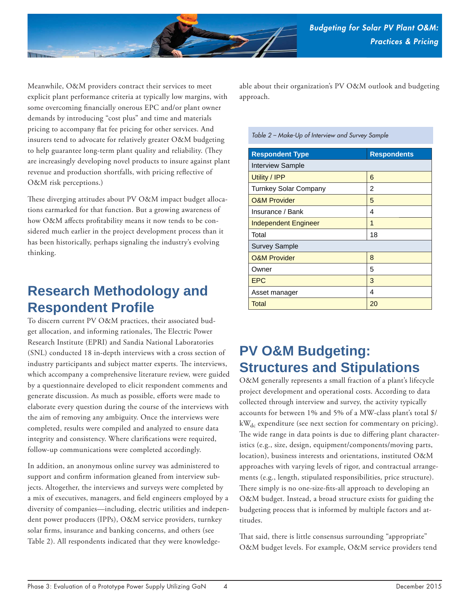

Meanwhile, O&M providers contract their services to meet explicit plant performance criteria at typically low margins, with some overcoming financially onerous EPC and/or plant owner demands by introducing "cost plus" and time and materials pricing to accompany flat fee pricing for other services. And insurers tend to advocate for relatively greater O&M budgeting to help guarantee long-term plant quality and reliability. (They are increasingly developing novel products to insure against plant revenue and production shortfalls, with pricing reflective of O&M risk perceptions.)

These diverging attitudes about PV O&M impact budget allocations earmarked for that function. But a growing awareness of how O&M affects profitability means it now tends to be considered much earlier in the project development process than it has been historically, perhaps signaling the industry's evolving thinking.

# **Research Methodology and Respondent Profile**

To discern current PV O&M practices, their associated budget allocation, and informing rationales, The Electric Power Research Institute (EPRI) and Sandia National Laboratories (SNL) conducted 18 in-depth interviews with a cross section of industry participants and subject matter experts. The interviews, which accompany a comprehensive literature review, were guided by a questionnaire developed to elicit respondent comments and generate discussion. As much as possible, efforts were made to elaborate every question during the course of the interviews with the aim of removing any ambiguity. Once the interviews were completed, results were compiled and analyzed to ensure data integrity and consistency. Where clarifications were required, follow-up communications were completed accordingly.

In addition, an anonymous online survey was administered to support and confirm information gleaned from interview subjects. Altogether, the interviews and surveys were completed by a mix of executives, managers, and field engineers employed by a diversity of companies—including, electric utilities and independent power producers (IPPs), O&M service providers, turnkey solar firms, insurance and banking concerns, and others (see Table 2). All respondents indicated that they were knowledgeable about their organization's PV O&M outlook and budgeting approach.

*Table 2 – Make-Up of Interview and Survey Sample*

| <b>Respondent Type</b>       | <b>Respondents</b> |  |
|------------------------------|--------------------|--|
| <b>Interview Sample</b>      |                    |  |
| Utility / IPP                | 6                  |  |
| <b>Turnkey Solar Company</b> | 2                  |  |
| <b>O&amp;M Provider</b>      | 5                  |  |
| Insurance / Bank             | 4                  |  |
| <b>Independent Engineer</b>  | 1                  |  |
| Total                        | 18                 |  |
| <b>Survey Sample</b>         |                    |  |
| <b>O&amp;M Provider</b>      | 8                  |  |
| Owner                        | 5                  |  |
| <b>EPC</b>                   | 3                  |  |
| Asset manager                | 4                  |  |
| Total                        | 20                 |  |

# **PV O&M Budgeting: Structures and Stipulations**

O&M generally represents a small fraction of a plant's lifecycle project development and operational costs. According to data collected through interview and survey, the activity typically accounts for between 1% and 5% of a MW-class plant's total \$/ kW<sub>dc</sub> expenditure (see next section for commentary on pricing). The wide range in data points is due to differing plant characteristics (e.g., size, design, equipment/components/moving parts, location), business interests and orientations, instituted O&M approaches with varying levels of rigor, and contractual arrangements (e.g., length, stipulated responsibilities, price structure). There simply is no one-size-fits-all approach to developing an O&M budget. Instead, a broad structure exists for guiding the budgeting process that is informed by multiple factors and attitudes.

That said, there is little consensus surrounding "appropriate" O&M budget levels. For example, O&M service providers tend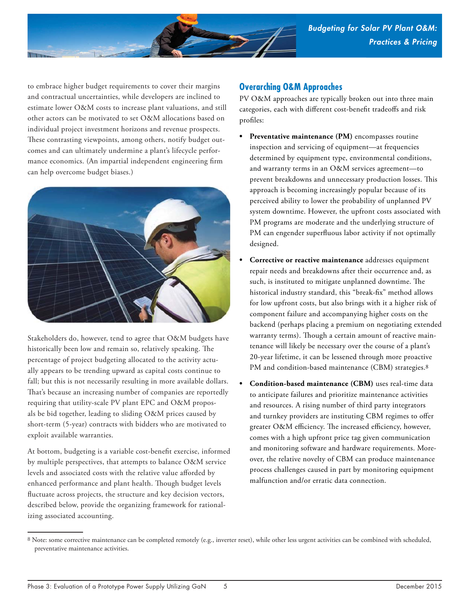

to embrace higher budget requirements to cover their margins and contractual uncertainties, while developers are inclined to estimate lower O&M costs to increase plant valuations, and still other actors can be motivated to set O&M allocations based on individual project investment horizons and revenue prospects. These contrasting viewpoints, among others, notify budget outcomes and can ultimately undermine a plant's lifecycle performance economics. (An impartial independent engineering firm can help overcome budget biases.)



Stakeholders do, however, tend to agree that O&M budgets have historically been low and remain so, relatively speaking. The percentage of project budgeting allocated to the activity actually appears to be trending upward as capital costs continue to fall; but this is not necessarily resulting in more available dollars. That's because an increasing number of companies are reportedly requiring that utility-scale PV plant EPC and O&M proposals be bid together, leading to sliding O&M prices caused by short-term (5-year) contracts with bidders who are motivated to exploit available warranties.

At bottom, budgeting is a variable cost-benefit exercise, informed by multiple perspectives, that attempts to balance O&M service levels and associated costs with the relative value afforded by enhanced performance and plant health. Though budget levels fluctuate across projects, the structure and key decision vectors, described below, provide the organizing framework for rationalizing associated accounting.

#### **Overarching O&M Approaches**

PV O&M approaches are typically broken out into three main categories, each with different cost-benefit tradeoffs and risk profiles:

- Preventative maintenance (PM) encompasses routine inspection and servicing of equipment—at frequencies determined by equipment type, environmental conditions, and warranty terms in an O&M services agreement—to prevent breakdowns and unnecessary production losses. This approach is becoming increasingly popular because of its perceived ability to lower the probability of unplanned PV system downtime. However, the upfront costs associated with PM programs are moderate and the underlying structure of PM can engender superfluous labor activity if not optimally designed.
- **Corrective or reactive maintenance** addresses equipment repair needs and breakdowns after their occurrence and, as such, is instituted to mitigate unplanned downtime. The historical industry standard, this "break-fix" method allows for low upfront costs, but also brings with it a higher risk of component failure and accompanying higher costs on the backend (perhaps placing a premium on negotiating extended warranty terms). Though a certain amount of reactive maintenance will likely be necessary over the course of a plant's 20-year lifetime, it can be lessened through more proactive PM and condition-based maintenance (CBM) strategies.<sup>8</sup>
- **Condition-based maintenance (CBM)** uses real-time data to anticipate failures and prioritize maintenance activities and resources. A rising number of third party integrators and turnkey providers are instituting CBM regimes to offer greater O&M efficiency. The increased efficiency, however, comes with a high upfront price tag given communication and monitoring software and hardware requirements. Moreover, the relative novelty of CBM can produce maintenance process challenges caused in part by monitoring equipment malfunction and/or erratic data connection.

<sup>8</sup> Note: some corrective maintenance can be completed remotely (e.g., inverter reset), while other less urgent activities can be combined with scheduled, preventative maintenance activities.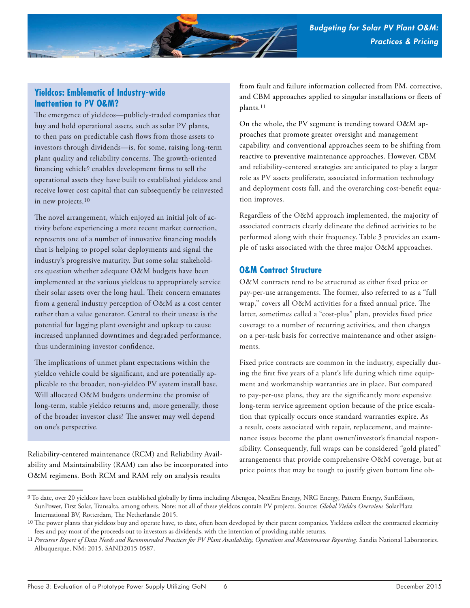

### **Yieldcos: Emblematic of Industry-wide Inattention to PV O&M?**

The emergence of yieldcos--publicly-traded companies that buy and hold operational assets, such as solar PV plants, to then pass on predictable cash flows from those assets to investors through dividends—is, for some, raising long-term plant quality and reliability concerns. The growth-oriented financing vehicle<sup>9</sup> enables development firms to sell the operational assets they have built to established yieldcos and receive lower cost capital that can subsequently be reinvested in new projects.10

The novel arrangement, which enjoyed an initial jolt of activity before experiencing a more recent market correction, represents one of a number of innovative financing models that is helping to propel solar deployments and signal the industry's progressive maturity. But some solar stakeholders question whether adequate O&M budgets have been implemented at the various yieldcos to appropriately service their solar assets over the long haul. Their concern emanates from a general industry perception of O&M as a cost center rather than a value generator. Central to their unease is the potential for lagging plant oversight and upkeep to cause increased unplanned downtimes and degraded performance, thus undermining investor confidence.

The implications of unmet plant expectations within the yieldco vehicle could be significant, and are potentially applicable to the broader, non-yieldco PV system install base. Will allocated O&M budgets undermine the promise of long-term, stable yieldco returns and, more generally, those of the broader investor class? The answer may well depend on one's perspective.

Reliability-centered maintenance (RCM) and Reliability Availability and Maintainability (RAM) can also be incorporated into O&M regimens. Both RCM and RAM rely on analysis results

from fault and failure information collected from PM, corrective, and CBM approaches applied to singular installations or fleets of plants.11

On the whole, the PV segment is trending toward O&M approaches that promote greater oversight and management capability, and conventional approaches seem to be shifting from reactive to preventive maintenance approaches. However, CBM and reliability-centered strategies are anticipated to play a larger role as PV assets proliferate, associated information technology and deployment costs fall, and the overarching cost-benefit equation improves.

Regardless of the O&M approach implemented, the majority of associated contracts clearly delineate the defined activities to be performed along with their frequency. Table 3 provides an example of tasks associated with the three major O&M approaches.

#### **O&M Contract Structure**

O&M contracts tend to be structured as either fixed price or pay-per-use arrangements. The former, also referred to as a "full wrap," covers all O&M activities for a fixed annual price. The latter, sometimes called a "cost-plus" plan, provides fixed price coverage to a number of recurring activities, and then charges on a per-task basis for corrective maintenance and other assignments.

Fixed price contracts are common in the industry, especially during the first five years of a plant's life during which time equipment and workmanship warranties are in place. But compared to pay-per-use plans, they are the significantly more expensive long-term service agreement option because of the price escalation that typically occurs once standard warranties expire. As a result, costs associated with repair, replacement, and maintenance issues become the plant owner/investor's financial responsibility. Consequently, full wraps can be considered "gold plated" arrangements that provide comprehensive O&M coverage, but at price points that may be tough to justify given bottom line ob-

<sup>9</sup> To date, over 20 yieldcos have been established globally by firms including Abengoa, NextEra Energy, NRG Energy, Pattern Energy, SunEdison, SunPower, First Solar, Transalta, among others. Note: not all of these yieldcos contain PV projects. Source: *Global Yieldco Overview.* SolarPlaza International BV, Rotterdam, The Netherlands: 2015.

<sup>&</sup>lt;sup>10</sup> The power plants that yieldcos buy and operate have, to date, often been developed by their parent companies. Yieldcos collect the contracted electricity fees and pay most of the proceeds out to investors as dividends, with the intention of providing stable returns.

<sup>&</sup>lt;sup>11</sup> Precursor Report of Data Needs and Recommended Practices for PV Plant Availability, Operations and Maintenance Reporting. Sandia National Laboratories. Albuquerque, NM: 2015. SAND2015-0587.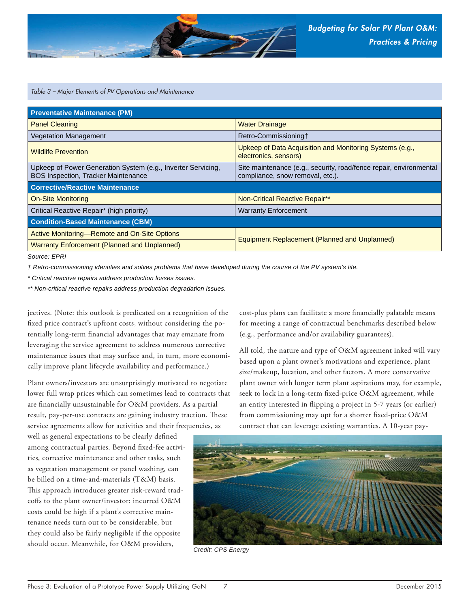

*Table 3 – Major Elements of PV Operations and Maintenance*

| <b>Preventative Maintenance (PM)</b>                                                                       |                                                                                                        |  |  |
|------------------------------------------------------------------------------------------------------------|--------------------------------------------------------------------------------------------------------|--|--|
| <b>Panel Cleaning</b>                                                                                      | <b>Water Drainage</b>                                                                                  |  |  |
| <b>Vegetation Management</b>                                                                               | Retro-Commissioning+                                                                                   |  |  |
| <b>Wildlife Prevention</b>                                                                                 | Upkeep of Data Acquisition and Monitoring Systems (e.g.,<br>electronics, sensors)                      |  |  |
| Upkeep of Power Generation System (e.g., Inverter Servicing,<br><b>BOS Inspection, Tracker Maintenance</b> | Site maintenance (e.g., security, road/fence repair, environmental<br>compliance, snow removal, etc.). |  |  |
| <b>Corrective/Reactive Maintenance</b>                                                                     |                                                                                                        |  |  |
| <b>On-Site Monitoring</b>                                                                                  | <b>Non-Critical Reactive Repair**</b>                                                                  |  |  |
| Critical Reactive Repair* (high priority)                                                                  |                                                                                                        |  |  |
|                                                                                                            | <b>Warranty Enforcement</b>                                                                            |  |  |
| <b>Condition-Based Maintenance (CBM)</b>                                                                   |                                                                                                        |  |  |
| Active Monitoring-Remote and On-Site Options                                                               |                                                                                                        |  |  |
| <b>Warranty Enforcement (Planned and Unplanned)</b>                                                        | <b>Equipment Replacement (Planned and Unplanned)</b>                                                   |  |  |

*Source: EPRI*

*† Retro-commissioning identifi es and solves problems that have developed during the course of the PV system's life.*

*\* Critical reactive repairs address production losses issues.*

*\*\* Non-critical reactive repairs address production degradation issues.*

jectives. (Note: this outlook is predicated on a recognition of the fixed price contract's upfront costs, without considering the potentially long-term financial advantages that may emanate from leveraging the service agreement to address numerous corrective maintenance issues that may surface and, in turn, more economically improve plant lifecycle availability and performance.)

Plant owners/investors are unsurprisingly motivated to negotiate lower full wrap prices which can sometimes lead to contracts that are financially unsustainable for O&M providers. As a partial result, pay-per-use contracts are gaining industry traction. These service agreements allow for activities and their frequencies, as

well as general expectations to be clearly defined among contractual parties. Beyond fixed-fee activities, corrective maintenance and other tasks, such as vegetation management or panel washing, can be billed on a time-and-materials (T&M) basis. This approach introduces greater risk-reward tradeoffs to the plant owner/investor: incurred O&M costs could be high if a plant's corrective maintenance needs turn out to be considerable, but they could also be fairly negligible if the opposite should occur. Meanwhile, for O&M providers, *Credit: CPS Energy*

cost-plus plans can facilitate a more financially palatable means for meeting a range of contractual benchmarks described below (e.g., performance and/or availability guarantees).

All told, the nature and type of O&M agreement inked will vary based upon a plant owner's motivations and experience, plant size/makeup, location, and other factors. A more conservative plant owner with longer term plant aspirations may, for example, seek to lock in a long-term fixed-price O&M agreement, while an entity interested in flipping a project in 5-7 years (or earlier) from commissioning may opt for a shorter fixed-price O&M contract that can leverage existing warranties. A 10-year pay-

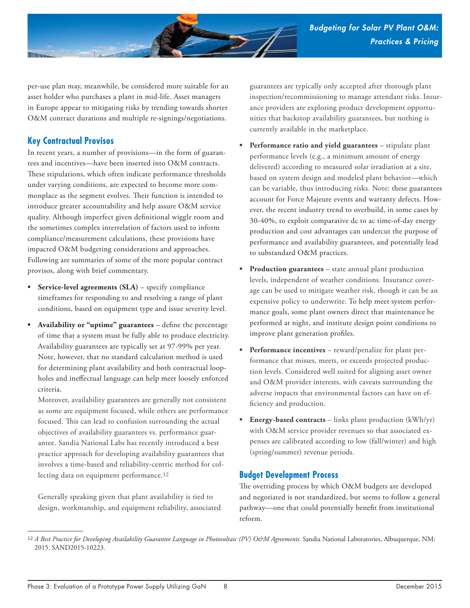

per-use plan may, meanwhile, be considered more suitable for an asset holder who purchases a plant in mid-life. Asset managers in Europe appear to mitigating risks by trending towards shorter O&M contract durations and multiple re-signings/negotiations.

## **Key Contractual Provisos**

In recent years, a number of provisions—in the form of guarantees and incentives—have been inserted into O&M contracts. These stipulations, which often indicate performance thresholds under varying conditions, are expected to become more commonplace as the segment evolves. Their function is intended to introduce greater accountability and help assure O&M service quality. Although imperfect given definitional wiggle room and the sometimes complex interrelation of factors used to inform compliance/measurement calculations, these provisions have impacted O&M budgeting considerations and approaches. Following are summaries of some of the more popular contract provisos, along with brief commentary.

- **Service-level agreements (SLA)**  specify compliance timeframes for responding to and resolving a range of plant conditions, based on equipment type and issue severity level.
- **Availability or "uptime" guarantees** define the percentage of time that a system must be fully able to produce electricity. Availability guarantees are typically set at 97-99% per year. Note, however, that no standard calculation method is used for determining plant availability and both contractual loopholes and ineffectual language can help meet loosely enforced criteria.

Moreover, availability guarantees are generally not consistent as some are equipment focused, while others are performance focused. This can lead to confusion surrounding the actual objectives of availability guarantees vs. performance guarantee. Sandia National Labs has recently introduced a best practice approach for developing availability guarantees that involves a time-based and reliability-centric method for collecting data on equipment performance.12

Generally speaking given that plant availability is tied to design, workmanship, and equipment reliability, associated

guarantees are typically only accepted after thorough plant inspection/recommissioning to manage attendant risks. Insurance providers are exploring product development opportunities that backstop availability guarantees, but nothing is currently available in the marketplace.

- **Performance ratio and yield guarantees** stipulate plant performance levels (e.g., a minimum amount of energy delivered) according to measured solar irradiation at a site, based on system design and modeled plant behavior—which can be variable, thus introducing risks. Note: these guarantees account for Force Majeure events and warranty defects. However, the recent industry trend to overbuild, in some cases by 30-40%, to exploit comparative dc to ac time-of-day energy production and cost advantages can undercut the purpose of performance and availability guarantees, and potentially lead to substandard O&M practices.
- **Production guarantees** state annual plant production levels, independent of weather conditions. Insurance coverage can be used to mitigate weather risk, though it can be an expensive policy to underwrite. To help meet system performance goals, some plant owners direct that maintenance be performed at night, and institute design point conditions to improve plant generation profiles.
- **Performance incentives** reward/penalize for plant performance that misses, meets, or exceeds projected production levels. Considered well suited for aligning asset owner and O&M provider interests, with caveats surrounding the adverse impacts that environmental factors can have on efficiency and production.
- **Energy-based contracts** links plant production (kWh/yr) with O&M service provider revenues so that associated expenses are calibrated according to low (fall/winter) and high (spring/summer) revenue periods.

### **Budget Development Process**

The overriding process by which O&M budgets are developed and negotiated is not standardized, but seems to follow a general pathway—one that could potentially benefit from institutional reform.

<sup>12</sup> *A Best Practice for Developing Availability Guarantee Language in Photovoltaic (PV) O&M Agreements*. Sandia National Laboratories, Albuquerque, NM: 2015. SAND2015-10223.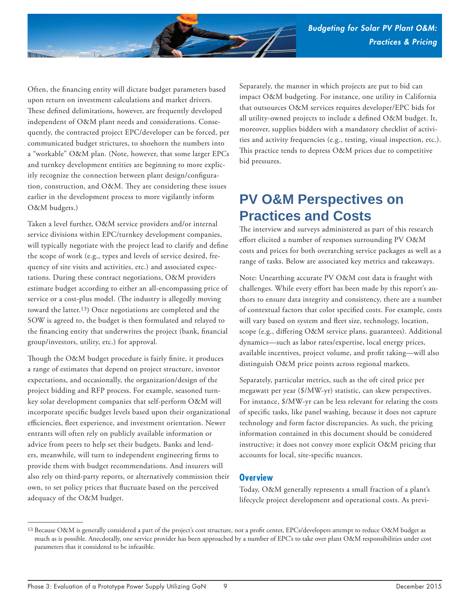

Often, the financing entity will dictate budget parameters based upon return on investment calculations and market drivers. These defined delimitations, however, are frequently developed independent of O&M plant needs and considerations. Consequently, the contracted project EPC/developer can be forced, per communicated budget strictures, to shoehorn the numbers into a "workable" O&M plan. (Note, however, that some larger EPCs and turnkey development entities are beginning to more explicitly recognize the connection between plant design/configuration, construction, and  $O\&M$ . They are considering these issues earlier in the development process to more vigilantly inform O&M budgets.)

Taken a level further, O&M service providers and/or internal service divisions within EPC/turnkey development companies, will typically negotiate with the project lead to clarify and define the scope of work (e.g., types and levels of service desired, frequency of site visits and activities, etc.) and associated expectations. During these contract negotiations, O&M providers estimate budget according to either an all-encompassing price of service or a cost-plus model. (The industry is allegedly moving toward the latter.13) Once negotiations are completed and the SOW is agreed to, the budget is then formulated and relayed to the financing entity that underwrites the project (bank, financial group/investors, utility, etc.) for approval.

Though the O&M budget procedure is fairly finite, it produces a range of estimates that depend on project structure, investor expectations, and occasionally, the organization/design of the project bidding and RFP process. For example, seasoned turnkey solar development companies that self-perform O&M will incorporate specific budget levels based upon their organizational efficiencies, fleet experience, and investment orientation. Newer entrants will often rely on publicly available information or advice from peers to help set their budgets. Banks and lenders, meanwhile, will turn to independent engineering firms to provide them with budget recommendations. And insurers will also rely on third-party reports, or alternatively commission their own, to set policy prices that fluctuate based on the perceived adequacy of the O&M budget.

Separately, the manner in which projects are put to bid can impact O&M budgeting. For instance, one utility in California that outsources O&M services requires developer/EPC bids for all utility-owned projects to include a defined O&M budget. It, moreover, supplies bidders with a mandatory checklist of activities and activity frequencies (e.g., testing, visual inspection, etc.). This practice tends to depress O&M prices due to competitive bid pressures.

# **PV O&M Perspectives on Practices and Costs**

The interview and surveys administered as part of this research effort elicited a number of responses surrounding PV O&M costs and prices for both overarching service packages as well as a range of tasks. Below are associated key metrics and takeaways.

Note: Unearthing accurate PV O&M cost data is fraught with challenges. While every effort has been made by this report's authors to ensure data integrity and consistency, there are a number of contextual factors that color specified costs. For example, costs will vary based on system and fleet size, technology, location, scope (e.g., differing O&M service plans, guarantees). Additional dynamics—such as labor rates/expertise, local energy prices, available incentives, project volume, and profit taking—will also distinguish O&M price points across regional markets.

Separately, particular metrics, such as the oft cited price per megawatt per year (\$/MW-yr) statistic, can skew perspectives. For instance, \$/MW-yr can be less relevant for relating the costs of specific tasks, like panel washing, because it does not capture technology and form factor discrepancies. As such, the pricing information contained in this document should be considered instructive; it does not convey more explicit O&M pricing that accounts for local, site-specific nuances.

#### **Overview**

Today, O&M generally represents a small fraction of a plant's lifecycle project development and operational costs. As previ-

<sup>13</sup> Because O&M is generally considered a part of the project's cost structure, not a profit center, EPCs/developers attempt to reduce O&M budget as much as is possible. Anecdotally, one service provider has been approached by a number of EPC's to take over plant O&M responsibilities under cost parameters that it considered to be infeasible.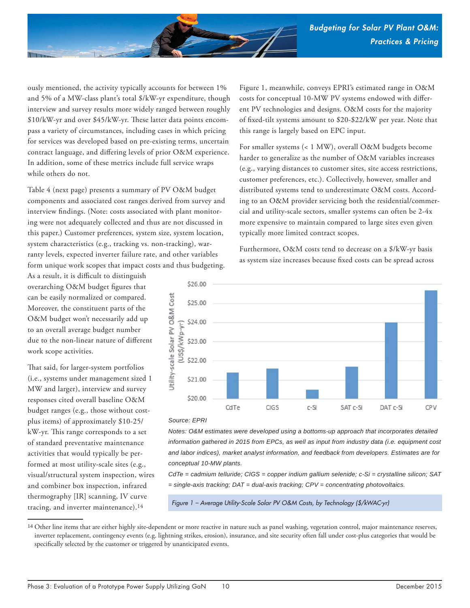

ously mentioned, the activity typically accounts for between 1% and 5% of a MW-class plant's total \$/kW-yr expenditure, though interview and survey results more widely ranged between roughly \$10/kW-yr and over \$45/kW-yr. These latter data points encompass a variety of circumstances, including cases in which pricing for services was developed based on pre-existing terms, uncertain contract language, and differing levels of prior O&M experience. In addition, some of these metrics include full service wraps while others do not.

Table 4 (next page) presents a summary of PV O&M budget components and associated cost ranges derived from survey and interview findings. (Note: costs associated with plant monitoring were not adequately collected and thus are not discussed in this paper.) Customer preferences, system size, system location, system characteristics (e.g., tracking vs. non-tracking), warranty levels, expected inverter failure rate, and other variables form unique work scopes that impact costs and thus budgeting.

As a result, it is difficult to distinguish overarching O&M budget figures that can be easily normalized or compared. Moreover, the constituent parts of the O&M budget won't necessarily add up to an overall average budget number due to the non-linear nature of different work scope activities.

That said, for larger-system portfolios (i.e., systems under management sized 1 MW and larger), interview and survey responses cited overall baseline O&M budget ranges (e.g., those without costplus items) of approximately \$10-25/ kW-yr. This range corresponds to a set of standard preventative maintenance activities that would typically be performed at most utility-scale sites (e.g., visual/structural system inspection, wires and combiner box inspection, infrared thermography [IR] scanning, IV curve tracing, and inverter maintenance).14

Figure 1, meanwhile, conveys EPRI's estimated range in O&M costs for conceptual 10-MW PV systems endowed with different PV technologies and designs. O&M costs for the majority of fixed-tilt systems amount to \$20-\$22/kW per year. Note that this range is largely based on EPC input.

For smaller systems (< 1 MW), overall O&M budgets become harder to generalize as the number of O&M variables increases (e.g., varying distances to customer sites, site access restrictions, customer preferences, etc.). Collectively, however, smaller and distributed systems tend to underestimate O&M costs. According to an O&M provider servicing both the residential/commercial and utility-scale sectors, smaller systems can often be 2-4x more expensive to maintain compared to large sites even given typically more limited contract scopes.

Furthermore, O&M costs tend to decrease on a \$/kW-yr basis as system size increases because fixed costs can be spread across



#### *Source: EPRI*

*Notes: O&M estimates were developed using a bottoms-up approach that incorporates detailed information gathered in 2015 from EPCs, as well as input from industry data (i.e. equipment cost and labor indices), market analyst information, and feedback from developers. Estimates are for conceptual 10-MW plants.*

*CdTe = cadmium telluride; CIGS = copper indium gallium selenide; c-Si = crystalline silicon; SAT = single-axis tracking; DAT = dual-axis tracking; CPV = concentrating photovoltaics.*

*Figure 1 – Average Utility-Scale Solar PV O&M Costs, by Technology (\$/kWAC-yr)*

<sup>14</sup> Other line items that are either highly site-dependent or more reactive in nature such as panel washing, vegetation control, major maintenance reserves, inverter replacement, contingency events (e.g. lightning strikes, erosion), insurance, and site security often fall under cost-plus categories that would be specifically selected by the customer or triggered by unanticipated events.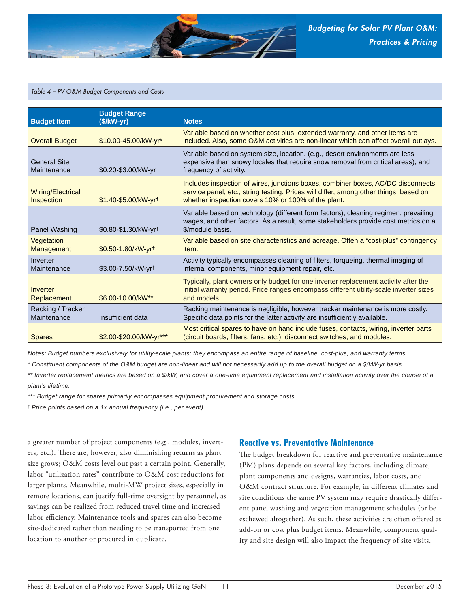

#### *Table 4 – PV O&M Budget Components and Costs*

| <b>Budget Item</b>                 | <b>Budget Range</b><br>$($/kW-yr)$ | <b>Notes</b>                                                                                                                                                                                                                      |
|------------------------------------|------------------------------------|-----------------------------------------------------------------------------------------------------------------------------------------------------------------------------------------------------------------------------------|
| <b>Overall Budget</b>              | \$10.00-45.00/kW-yr*               | Variable based on whether cost plus, extended warranty, and other items are<br>included. Also, some O&M activities are non-linear which can affect overall outlays.                                                               |
| <b>General Site</b><br>Maintenance | \$0.20-\$3.00/kW-yr                | Variable based on system size, location. (e.g., desert environments are less<br>expensive than snowy locales that require snow removal from critical areas), and<br>frequency of activity.                                        |
| Wiring/Electrical<br>Inspection    | \$1.40-\$5.00/kW-yrt               | Includes inspection of wires, junctions boxes, combiner boxes, AC/DC disconnects,<br>service panel, etc.; string testing. Prices will differ, among other things, based on<br>whether inspection covers 10% or 100% of the plant. |
| Panel Washing                      | \$0.80-\$1.30/kW-yrt               | Variable based on technology (different form factors), cleaning regimen, prevailing<br>wages, and other factors. As a result, some stakeholders provide cost metrics on a<br>\$/module basis.                                     |
| Vegetation<br><b>Management</b>    | \$0.50-1.80/kW-yrt                 | Variable based on site characteristics and acreage. Often a "cost-plus" contingency<br>item.                                                                                                                                      |
| Inverter<br>Maintenance            | \$3.00-7.50/kW-yrt                 | Activity typically encompasses cleaning of filters, torqueing, thermal imaging of<br>internal components, minor equipment repair, etc.                                                                                            |
| Inverter<br>Replacement            | \$6.00-10.00/kW**                  | Typically, plant owners only budget for one inverter replacement activity after the<br>initial warranty period. Price ranges encompass different utility-scale inverter sizes<br>and models.                                      |
| Racking / Tracker<br>Maintenance   | Insufficient data                  | Racking maintenance is negligible, however tracker maintenance is more costly.<br>Specific data points for the latter activity are insufficiently available.                                                                      |
| <b>Spares</b>                      | \$2.00-\$20.00/kW-yr***            | Most critical spares to have on hand include fuses, contacts, wiring, inverter parts<br>(circuit boards, filters, fans, etc.), disconnect switches, and modules.                                                                  |

*Notes: Budget numbers exclusively for utility-scale plants; they encompass an entire range of baseline, cost-plus, and warranty terms.*

*\* Constituent components of the O&M budget are non-linear and will not necessarily add up to the overall budget on a \$/kW-yr basis.*

*\*\* Inverter replacement metrics are based on a \$/kW, and cover a one-time equipment replacement and installation activity over the course of a plant's lifetime.*

*\*\*\* Budget range for spares primarily encompasses equipment procurement and storage costs.*

† *Price points based on a 1x annual frequency (i.e., per event)*

a greater number of project components (e.g., modules, inverters, etc.). There are, however, also diminishing returns as plant size grows; O&M costs level out past a certain point. Generally, labor "utilization rates" contribute to O&M cost reductions for larger plants. Meanwhile, multi-MW project sizes, especially in remote locations, can justify full-time oversight by personnel, as savings can be realized from reduced travel time and increased labor efficiency. Maintenance tools and spares can also become site-dedicated rather than needing to be transported from one location to another or procured in duplicate.

#### **Reactive vs. Preventative Maintenance**

The budget breakdown for reactive and preventative maintenance (PM) plans depends on several key factors, including climate, plant components and designs, warranties, labor costs, and O&M contract structure. For example, in different climates and site conditions the same PV system may require drastically different panel washing and vegetation management schedules (or be eschewed altogether). As such, these activities are often offered as add-on or cost plus budget items. Meanwhile, component quality and site design will also impact the frequency of site visits.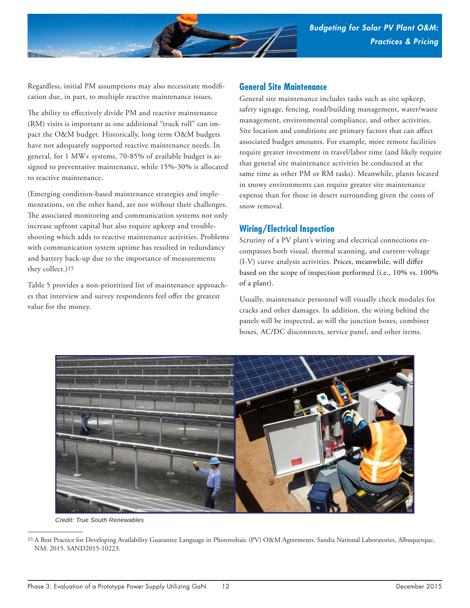

Regardless, initial PM assumptions may also necessitate modification due, in part, to multiple reactive maintenance issues.

The ability to effectively divide PM and reactive maintenance (RM) visits is important as one additional "truck roll" can impact the O&M budget. Historically, long term O&M budgets have not adequately supported reactive maintenance needs. In general, for 1 MW+ systems, 70-85% of available budget is assigned to preventative maintenance, while 15%-30% is allocated to reactive maintenance.

(Emerging condition-based maintenance strategies and implementations, on the other hand, are not without their challenges. The associated monitoring and communication systems not only increase upfront capital but also require upkeep and troubleshooting which adds to reactive maintenance activities. Problems with communication system uptime has resulted in redundancy and battery back-up due to the importance of measurements they collect.)15

Table 5 provides a non-prioritized list of maintenance approaches that interview and survey respondents feel offer the greatest value for the money.

#### **General Site Maintenance**

General site maintenance includes tasks such as site upkeep, safety signage, fencing, road/building management, water/waste management, environmental compliance, and other activities. Site location and conditions are primary factors that can affect associated budget amounts. For example, more remote facilities require greater investment in travel/labor time (and likely require that general site maintenance activities be conducted at the same time as other PM or RM tasks). Meanwhile, plants located in snowy environments can require greater site maintenance expense than for those in desert surrounding given the costs of snow removal.

#### **Wiring/Electrical Inspection**

Scrutiny of a PV plant's wiring and electrical connections encompasses both visual, thermal scanning, and current-voltage (I-V) curve analysis activities. Prices, meanwhile, will differ based on the scope of inspection performed (i.e., 10% vs. 100% of a plant).

Usually, maintenance personnel will visually check modules for cracks and other damages. In addition, the wiring behind the panels will be inspected, as will the junction boxes, combiner boxes, AC/DC disconnects, service panel, and other items.



*Credit: True South Renewables*

<sup>15</sup> A Best Practice for Developing Availability Guarantee Language in Photovoltaic (PV) O&M Agreements. Sandia National Laboratories, Albuquerque, NM: 2015. SAND2015-10223.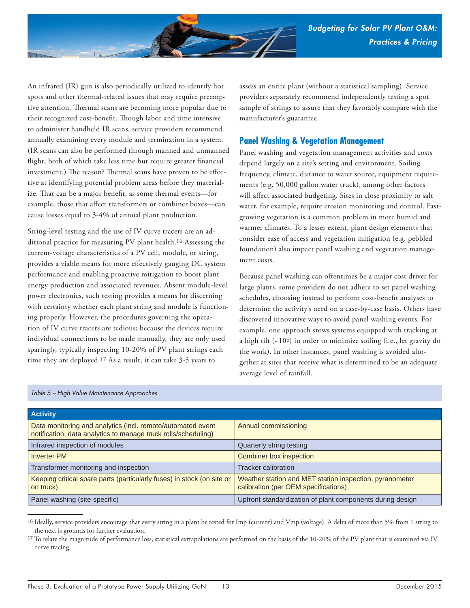

An infrared (IR) gun is also periodically utilized to identify hot spots and other thermal-related issues that may require preemptive attention. Thermal scans are becoming more popular due to their recognized cost-benefit. Though labor and time intensive to administer handheld IR scans, service providers recommend annually examining every module and termination in a system. (IR scans can also be performed through manned and unmanned flight, both of which take less time but require greater financial investment.) The reason? Thermal scans have proven to be effective at identifying potential problem areas before they materialize. That can be a major benefit, as some thermal events-for example, those that affect transformers or combiner boxes—can cause losses equal to 3-4% of annual plant production.

String-level testing and the use of IV curve tracers are an additional practice for measuring PV plant health.16 Assessing the current-voltage characteristics of a PV cell, module, or string, provides a viable means for more effectively gauging DC system performance and enabling proactive mitigation to boost plant energy production and associated revenues. Absent module-level power electronics, such testing provides a means for discerning with certainty whether each plant string and module is functioning properly. However, the procedures governing the operation of IV curve tracers are tedious; because the devices require individual connections to be made manually, they are only used sparingly, typically inspecting 10-20% of PV plant strings each time they are deployed.17 As a result, it can take 3-5 years to

assess an entire plant (without a statistical sampling). Service providers separately recommend independently testing a spot sample of strings to assure that they favorably compare with the manufacturer's guarantee.

#### **Panel Washing & Vegetation Management**

Panel washing and vegetation management activities and costs depend largely on a site's setting and environment. Soiling frequency, climate, distance to water source, equipment requirements (e.g. 50,000 gallon water truck), among other factors will affect associated budgeting. Sites in close proximity to salt water, for example, require erosion monitoring and control. Fastgrowing vegetation is a common problem in more humid and warmer climates. To a lesser extent, plant design elements that consider ease of access and vegetation mitigation (e.g. pebbled foundation) also impact panel washing and vegetation management costs.

Because panel washing can oftentimes be a major cost driver for large plants, some providers do not adhere to set panel washing schedules, choosing instead to perform cost-benefit analyses to determine the activity's need on a case-by-case basis. Others have discovered innovative ways to avoid panel washing events. For example, one approach stows systems equipped with tracking at a high tilt (~10o) in order to minimize soiling (i.e., let gravity do the work). In other instances, panel washing is avoided altogether at sites that receive what is determined to be an adequate average level of rainfall.

| <b>Activity</b>                                                                                                               |                                                                                                 |
|-------------------------------------------------------------------------------------------------------------------------------|-------------------------------------------------------------------------------------------------|
| Data monitoring and analytics (incl. remote/automated event<br>notification, data analytics to manage truck rolls/scheduling) | Annual commissioning                                                                            |
| Infrared inspection of modules                                                                                                | Quarterly string testing                                                                        |
| <b>Inverter PM</b>                                                                                                            | Combiner box inspection                                                                         |
| Transformer monitoring and inspection                                                                                         | Tracker calibration                                                                             |
| Keeping critical spare parts (particularly fuses) in stock (on site or<br>on truck)                                           | Weather station and MET station inspection, pyranometer<br>calibration (per OEM specifications) |
| Panel washing (site-specific)                                                                                                 | Upfront standardization of plant components during design                                       |

#### *Table 5 – High Value Maintenance Approaches*

<sup>16</sup> Ideally, service providers encourage that every string in a plant be tested for Imp (current) and Vmp (voltage). A delta of more than 5% from 1 string to the next is grounds for further evaluation.

<sup>&</sup>lt;sup>17</sup> To relate the magnitude of performance loss, statistical extrapolations are performed on the basis of the 10-20% of the PV plant that is examined via IV curve tracing.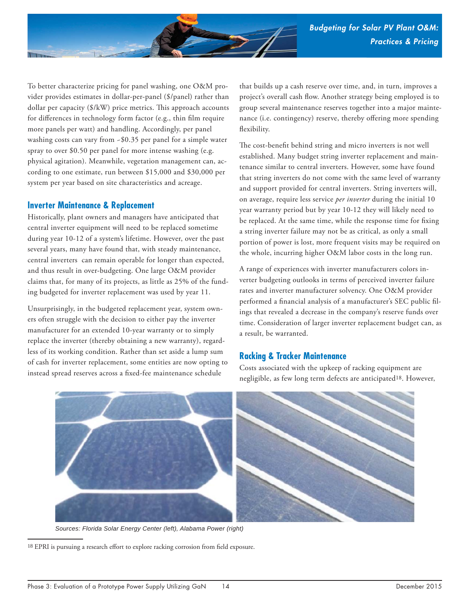

To better characterize pricing for panel washing, one O&M provider provides estimates in dollar-per-panel (\$/panel) rather than dollar per capacity  $(\frac{1}{2}kW)$  price metrics. This approach accounts for differences in technology form factor (e.g., thin film require more panels per watt) and handling. Accordingly, per panel washing costs can vary from  $-$ \$0.35 per panel for a simple water spray to over \$0.50 per panel for more intense washing (e.g. physical agitation). Meanwhile, vegetation management can, according to one estimate, run between \$15,000 and \$30,000 per system per year based on site characteristics and acreage.

#### **Inverter Maintenance & Replacement**

Historically, plant owners and managers have anticipated that central inverter equipment will need to be replaced sometime during year 10-12 of a system's lifetime. However, over the past several years, many have found that, with steady maintenance, central inverters can remain operable for longer than expected, and thus result in over-budgeting. One large O&M provider claims that, for many of its projects, as little as 25% of the funding budgeted for inverter replacement was used by year 11.

Unsurprisingly, in the budgeted replacement year, system owners often struggle with the decision to either pay the inverter manufacturer for an extended 10-year warranty or to simply replace the inverter (thereby obtaining a new warranty), regardless of its working condition. Rather than set aside a lump sum of cash for inverter replacement, some entities are now opting to instead spread reserves across a fixed-fee maintenance schedule

that builds up a cash reserve over time, and, in turn, improves a project's overall cash flow. Another strategy being employed is to group several maintenance reserves together into a major maintenance (i.e. contingency) reserve, thereby offering more spending flexibility.

The cost-benefit behind string and micro inverters is not well established. Many budget string inverter replacement and maintenance similar to central inverters. However, some have found that string inverters do not come with the same level of warranty and support provided for central inverters. String inverters will, on average, require less service *per inverter* during the initial 10 year warranty period but by year 10-12 they will likely need to be replaced. At the same time, while the response time for fixing a string inverter failure may not be as critical, as only a small portion of power is lost, more frequent visits may be required on the whole, incurring higher O&M labor costs in the long run.

A range of experiences with inverter manufacturers colors inverter budgeting outlooks in terms of perceived inverter failure rates and inverter manufacturer solvency. One O&M provider performed a financial analysis of a manufacturer's SEC public filings that revealed a decrease in the company's reserve funds over time. Consideration of larger inverter replacement budget can, as a result, be warranted.

#### **Racking & Tracker Maintenance**

Costs associated with the upkeep of racking equipment are negligible, as few long term defects are anticipated18. However,



*Sources: Florida Solar Energy Center (left), Alabama Power (right)*

<sup>18</sup> EPRI is pursuing a research effort to explore racking corrosion from field exposure.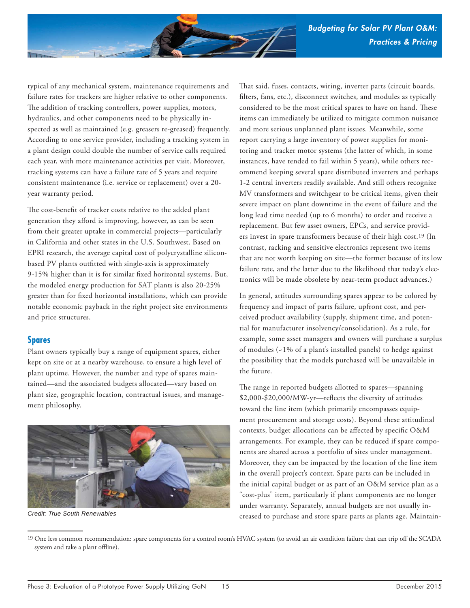

typical of any mechanical system, maintenance requirements and failure rates for trackers are higher relative to other components. The addition of tracking controllers, power supplies, motors, hydraulics, and other components need to be physically inspected as well as maintained (e.g. greasers re-greased) frequently. According to one service provider, including a tracking system in a plant design could double the number of service calls required each year, with more maintenance activities per visit. Moreover, tracking systems can have a failure rate of 5 years and require consistent maintenance (i.e. service or replacement) over a 20 year warranty period.

The cost-benefit of tracker costs relative to the added plant generation they afford is improving, however, as can be seen from their greater uptake in commercial projects—particularly in California and other states in the U.S. Southwest. Based on EPRI research, the average capital cost of polycrystalline siliconbased PV plants outfitted with single-axis is approximately 9-15% higher than it is for similar fixed horizontal systems. But, the modeled energy production for SAT plants is also 20-25% greater than for fixed horizontal installations, which can provide notable economic payback in the right project site environments and price structures.

#### **Spares**

Plant owners typically buy a range of equipment spares, either kept on site or at a nearby warehouse, to ensure a high level of plant uptime. However, the number and type of spares maintained—and the associated budgets allocated—vary based on plant size, geographic location, contractual issues, and management philosophy.



*Credit: True South Renewables*

That said, fuses, contacts, wiring, inverter parts (circuit boards, filters, fans, etc.), disconnect switches, and modules as typically considered to be the most critical spares to have on hand. These items can immediately be utilized to mitigate common nuisance and more serious unplanned plant issues. Meanwhile, some report carrying a large inventory of power supplies for monitoring and tracker motor systems (the latter of which, in some instances, have tended to fail within 5 years), while others recommend keeping several spare distributed inverters and perhaps 1-2 central inverters readily available. And still others recognize MV transformers and switchgear to be critical items, given their severe impact on plant downtime in the event of failure and the long lead time needed (up to 6 months) to order and receive a replacement. But few asset owners, EPCs, and service providers invest in spare transformers because of their high cost.19 (In contrast, racking and sensitive electronics represent two items that are not worth keeping on site—the former because of its low failure rate, and the latter due to the likelihood that today's electronics will be made obsolete by near-term product advances.)

In general, attitudes surrounding spares appear to be colored by frequency and impact of parts failure, upfront cost, and perceived product availability (supply, shipment time, and potential for manufacturer insolvency/consolidation). As a rule, for example, some asset managers and owners will purchase a surplus of modules (~1% of a plant's installed panels) to hedge against the possibility that the models purchased will be unavailable in the future.

The range in reported budgets allotted to spares—spanning \$2,000-\$20,000/MW-yr-reflects the diversity of attitudes toward the line item (which primarily encompasses equipment procurement and storage costs). Beyond these attitudinal contexts, budget allocations can be affected by specific O&M arrangements. For example, they can be reduced if spare components are shared across a portfolio of sites under management. Moreover, they can be impacted by the location of the line item in the overall project's context. Spare parts can be included in the initial capital budget or as part of an O&M service plan as a "cost-plus" item, particularly if plant components are no longer under warranty. Separately, annual budgets are not usually increased to purchase and store spare parts as plants age. Maintain-

<sup>19</sup> One less common recommendation: spare components for a control room's HVAC system (to avoid an air condition failure that can trip off the SCADA system and take a plant offline).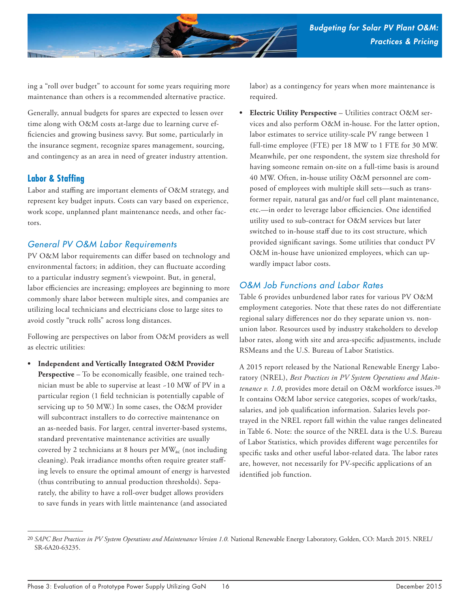

ing a "roll over budget" to account for some years requiring more maintenance than others is a recommended alternative practice.

Generally, annual budgets for spares are expected to lessen over time along with O&M costs at-large due to learning curve efficiencies and growing business savvy. But some, particularly in the insurance segment, recognize spares management, sourcing, and contingency as an area in need of greater industry attention.

#### **Labor & Staffing**

Labor and staffing are important elements of O&M strategy, and represent key budget inputs. Costs can vary based on experience, work scope, unplanned plant maintenance needs, and other factors.

#### *General PV O&M Labor Requirements*

PV O&M labor requirements can differ based on technology and environmental factors; in addition, they can fluctuate according to a particular industry segment's viewpoint. But, in general, labor efficiencies are increasing; employees are beginning to more commonly share labor between multiple sites, and companies are utilizing local technicians and electricians close to large sites to avoid costly "truck rolls" across long distances.

Following are perspectives on labor from O&M providers as well as electric utilities:

**• Independent and Vertically Integrated O&M Provider Perspective** – To be economically feasible, one trained technician must be able to supervise at least ~10 MW of PV in a particular region (1 field technician is potentially capable of servicing up to 50 MW.) In some cases, the O&M provider will subcontract installers to do corrective maintenance on an as-needed basis. For larger, central inverter-based systems, standard preventative maintenance activities are usually covered by 2 technicians at 8 hours per MW<sub>ac</sub> (not including cleaning). Peak irradiance months often require greater staffing levels to ensure the optimal amount of energy is harvested (thus contributing to annual production thresholds). Separately, the ability to have a roll-over budget allows providers to save funds in years with little maintenance (and associated

labor) as a contingency for years when more maintenance is required.

**• Electric Utility Perspective** – Utilities contract O&M services and also perform O&M in-house. For the latter option, labor estimates to service utility-scale PV range between 1 full-time employee (FTE) per 18 MW to 1 FTE for 30 MW. Meanwhile, per one respondent, the system size threshold for having someone remain on-site on a full-time basis is around 40 MW. Often, in-house utility O&M personnel are composed of employees with multiple skill sets—such as transformer repair, natural gas and/or fuel cell plant maintenance, etc.-in order to leverage labor efficiencies. One identified utility used to sub-contract for O&M services but later switched to in-house staff due to its cost structure, which provided significant savings. Some utilities that conduct PV O&M in-house have unionized employees, which can upwardly impact labor costs.

### *O&M Job Functions and Labor Rates*

Table 6 provides unburdened labor rates for various PV O&M employment categories. Note that these rates do not differentiate regional salary differences nor do they separate union vs. nonunion labor. Resources used by industry stakeholders to develop labor rates, along with site and area-specific adjustments, include RSMeans and the U.S. Bureau of Labor Statistics.

A 2015 report released by the National Renewable Energy Laboratory (NREL), *Best Practices in PV System Operations and Maintenance v. 1.0*, provides more detail on O&M workforce issues.20 It contains O&M labor service categories, scopes of work/tasks, salaries, and job qualification information. Salaries levels portrayed in the NREL report fall within the value ranges delineated in Table 6. Note: the source of the NREL data is the U.S. Bureau of Labor Statistics, which provides different wage percentiles for specific tasks and other useful labor-related data. The labor rates are, however, not necessarily for PV-specific applications of an identified job function.

<sup>20</sup> *SAPC Best Practices in PV System Operations and Maintenance Version 1.0.* National Renewable Energy Laboratory, Golden, CO: March 2015. NREL/ SR-6A20-63235.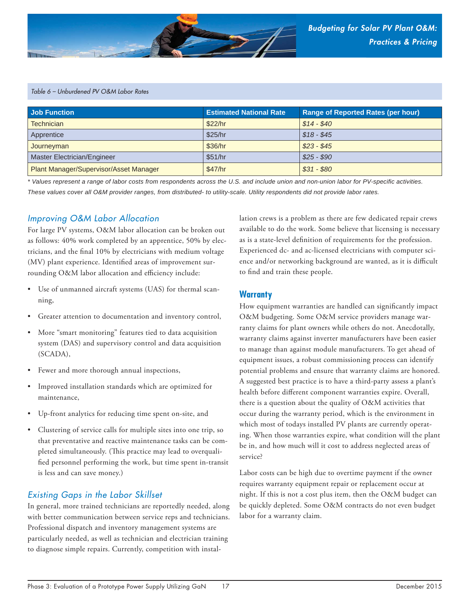

#### *Table 6 – Unburdened PV O&M Labor Rates*

| Job Function                           | <b>Estimated National Rate</b> | <b>Range of Reported Rates (per hour)</b> |
|----------------------------------------|--------------------------------|-------------------------------------------|
| <b>Technician</b>                      | \$22/hr                        | $$14 - $40$                               |
| Apprentice                             | \$25/hr                        | $$18 - $45$                               |
| Journeyman                             | \$36/hr                        | $$23 - $45$                               |
| Master Electrician/Engineer            | \$51/hr                        | $$25 - $90$                               |
| Plant Manager/Supervisor/Asset Manager | \$47/hr                        | $$31 - $80$                               |

*\* Values represent a range of labor costs from respondents across the U.S. and include union and non-union labor for PV-specifi c activities. These values cover all O&M provider ranges, from distributed- to utility-scale. Utility respondents did not provide labor rates.*

#### *Improving O&M Labor Allocation*

For large PV systems, O&M labor allocation can be broken out as follows: 40% work completed by an apprentice, 50% by electricians, and the final 10% by electricians with medium voltage (MV) plant experience. Identified areas of improvement surrounding O&M labor allocation and efficiency include:

- Use of unmanned aircraft systems (UAS) for thermal scanning,
- Greater attention to documentation and inventory control,
- More "smart monitoring" features tied to data acquisition system (DAS) and supervisory control and data acquisition (SCADA),
- Fewer and more thorough annual inspections,
- Improved installation standards which are optimized for maintenance,
- Up-front analytics for reducing time spent on-site, and
- Clustering of service calls for multiple sites into one trip, so that preventative and reactive maintenance tasks can be completed simultaneously. (This practice may lead to overqualified personnel performing the work, but time spent in-transit is less and can save money.)

#### *Existing Gaps in the Labor Skillset*

In general, more trained technicians are reportedly needed, along with better communication between service reps and technicians. Professional dispatch and inventory management systems are particularly needed, as well as technician and electrician training to diagnose simple repairs. Currently, competition with installation crews is a problem as there are few dedicated repair crews available to do the work. Some believe that licensing is necessary as is a state-level definition of requirements for the profession. Experienced dc- and ac-licensed electricians with computer science and/or networking background are wanted, as it is difficult to find and train these people.

#### **Warranty**

How equipment warranties are handled can significantly impact O&M budgeting. Some O&M service providers manage warranty claims for plant owners while others do not. Anecdotally, warranty claims against inverter manufacturers have been easier to manage than against module manufacturers. To get ahead of equipment issues, a robust commissioning process can identify potential problems and ensure that warranty claims are honored. A suggested best practice is to have a third-party assess a plant's health before different component warranties expire. Overall, there is a question about the quality of O&M activities that occur during the warranty period, which is the environment in which most of todays installed PV plants are currently operating. When those warranties expire, what condition will the plant be in, and how much will it cost to address neglected areas of service?

Labor costs can be high due to overtime payment if the owner requires warranty equipment repair or replacement occur at night. If this is not a cost plus item, then the O&M budget can be quickly depleted. Some O&M contracts do not even budget labor for a warranty claim.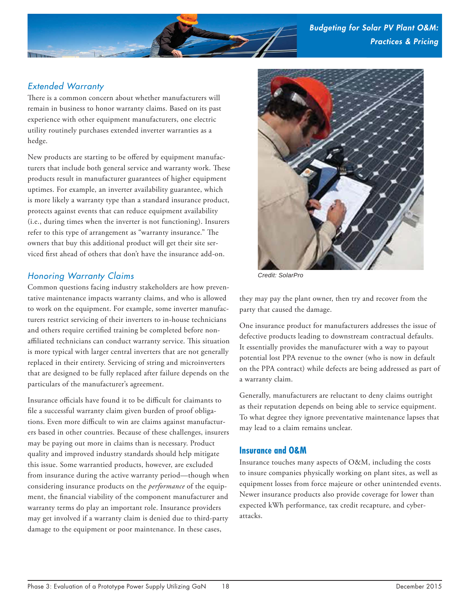

### *Extended Warranty*

There is a common concern about whether manufacturers will remain in business to honor warranty claims. Based on its past experience with other equipment manufacturers, one electric utility routinely purchases extended inverter warranties as a hedge.

New products are starting to be offered by equipment manufacturers that include both general service and warranty work. These products result in manufacturer guarantees of higher equipment uptimes. For example, an inverter availability guarantee, which is more likely a warranty type than a standard insurance product, protects against events that can reduce equipment availability (i.e., during times when the inverter is not functioning). Insurers refer to this type of arrangement as "warranty insurance." The owners that buy this additional product will get their site serviced first ahead of others that don't have the insurance add-on.

### *Honoring Warranty Claims*

Common questions facing industry stakeholders are how preventative maintenance impacts warranty claims, and who is allowed to work on the equipment. For example, some inverter manufacturers restrict servicing of their inverters to in-house technicians and others require certified training be completed before nonaffiliated technicians can conduct warranty service. This situation is more typical with larger central inverters that are not generally replaced in their entirety. Servicing of string and microinverters that are designed to be fully replaced after failure depends on the particulars of the manufacturer's agreement.

Insurance officials have found it to be difficult for claimants to file a successful warranty claim given burden of proof obligations. Even more difficult to win are claims against manufacturers based in other countries. Because of these challenges, insurers may be paying out more in claims than is necessary. Product quality and improved industry standards should help mitigate this issue. Some warrantied products, however, are excluded from insurance during the active warranty period—though when considering insurance products on the *performance* of the equipment, the financial viability of the component manufacturer and warranty terms do play an important role. Insurance providers may get involved if a warranty claim is denied due to third-party damage to the equipment or poor maintenance. In these cases,



*Credit: SolarPro*

they may pay the plant owner, then try and recover from the party that caused the damage.

One insurance product for manufacturers addresses the issue of defective products leading to downstream contractual defaults. It essentially provides the manufacturer with a way to payout potential lost PPA revenue to the owner (who is now in default on the PPA contract) while defects are being addressed as part of a warranty claim.

Generally, manufacturers are reluctant to deny claims outright as their reputation depends on being able to service equipment. To what degree they ignore preventative maintenance lapses that may lead to a claim remains unclear.

#### **Insurance and O&M**

Insurance touches many aspects of O&M, including the costs to insure companies physically working on plant sites, as well as equipment losses from force majeure or other unintended events. Newer insurance products also provide coverage for lower than expected kWh performance, tax credit recapture, and cyberattacks.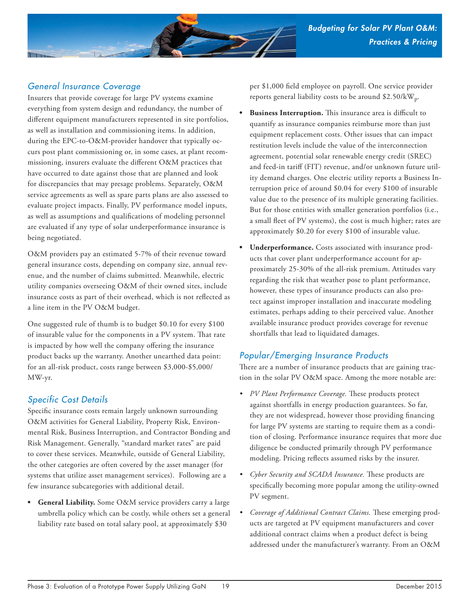

## *General Insurance Coverage*

Insurers that provide coverage for large PV systems examine everything from system design and redundancy, the number of different equipment manufacturers represented in site portfolios, as well as installation and commissioning items. In addition, during the EPC-to-O&M-provider handover that typically occurs post plant commissioning or, in some cases, at plant recommissioning, insurers evaluate the different O&M practices that have occurred to date against those that are planned and look for discrepancies that may presage problems. Separately, O&M service agreements as well as spare parts plans are also assessed to evaluate project impacts. Finally, PV performance model inputs, as well as assumptions and qualifications of modeling personnel are evaluated if any type of solar underperformance insurance is being negotiated.

O&M providers pay an estimated 5-7% of their revenue toward general insurance costs, depending on company size, annual revenue, and the number of claims submitted. Meanwhile, electric utility companies overseeing O&M of their owned sites, include insurance costs as part of their overhead, which is not reflected as a line item in the PV O&M budget.

One suggested rule of thumb is to budget \$0.10 for every \$100 of insurable value for the components in a PV system. That rate is impacted by how well the company offering the insurance product backs up the warranty. Another unearthed data point: for an all-risk product, costs range between \$3,000-\$5,000/ MW-yr.

### *Specific Cost Details*

Specific insurance costs remain largely unknown surrounding O&M activities for General Liability, Property Risk, Environmental Risk, Business Interruption, and Contractor Bonding and Risk Management. Generally, "standard market rates" are paid to cover these services. Meanwhile, outside of General Liability, the other categories are often covered by the asset manager (for systems that utilize asset management services). Following are a few insurance subcategories with additional detail.

**• General Liability.** Some O&M service providers carry a large umbrella policy which can be costly, while others set a general liability rate based on total salary pool, at approximately \$30

per \$1,000 field employee on payroll. One service provider reports general liability costs to be around \$2.50/kWp.

- **Business Interruption.** This insurance area is difficult to quantify as insurance companies reimburse more than just equipment replacement costs. Other issues that can impact restitution levels include the value of the interconnection agreement, potential solar renewable energy credit (SREC) and feed-in tariff (FIT) revenue, and/or unknown future utility demand charges. One electric utility reports a Business Interruption price of around \$0.04 for every \$100 of insurable value due to the presence of its multiple generating facilities. But for those entities with smaller generation portfolios (i.e., a small fleet of PV systems), the cost is much higher; rates are approximately \$0.20 for every \$100 of insurable value.
- **Underperformance.** Costs associated with insurance products that cover plant underperformance account for approximately 25-30% of the all-risk premium. Attitudes vary regarding the risk that weather pose to plant performance, however, these types of insurance products can also protect against improper installation and inaccurate modeling estimates, perhaps adding to their perceived value. Another available insurance product provides coverage for revenue shortfalls that lead to liquidated damages.

# *Popular/Emerging Insurance Products*

There are a number of insurance products that are gaining traction in the solar PV O&M space. Among the more notable are:

- PV Plant Performance Coverage. These products protect against shortfalls in energy production guarantees. So far, they are not widespread, however those providing financing for large PV systems are starting to require them as a condition of closing. Performance insurance requires that more due diligence be conducted primarily through PV performance modeling. Pricing reflects assumed risks by the insurer.
- *Cyber Security and SCADA Insurance*. These products are specifically becoming more popular among the utility-owned PV segment.
- *Coverage of Additional Contract Claims.* These emerging products are targeted at PV equipment manufacturers and cover additional contract claims when a product defect is being addressed under the manufacturer's warranty. From an O&M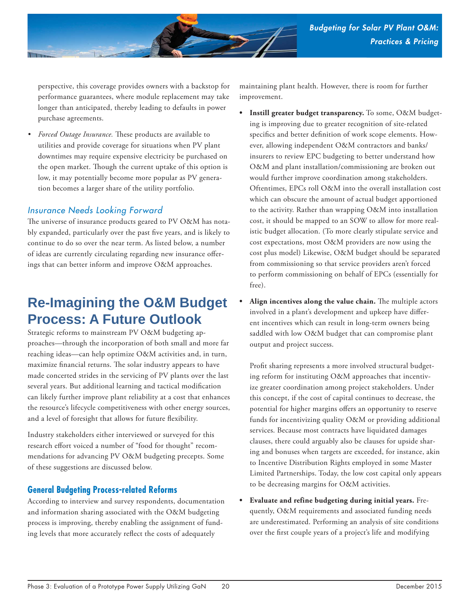

perspective, this coverage provides owners with a backstop for performance guarantees, where module replacement may take longer than anticipated, thereby leading to defaults in power purchase agreements.

• Forced Outage Insurance. These products are available to utilities and provide coverage for situations when PV plant downtimes may require expensive electricity be purchased on the open market. Though the current uptake of this option is low, it may potentially become more popular as PV generation becomes a larger share of the utility portfolio.

#### *Insurance Needs Looking Forward*

The universe of insurance products geared to PV O&M has notably expanded, particularly over the past five years, and is likely to continue to do so over the near term. As listed below, a number of ideas are currently circulating regarding new insurance offerings that can better inform and improve O&M approaches.

# **Re-Imagining the O&M Budget Process: A Future Outlook**

Strategic reforms to mainstream PV O&M budgeting approaches—through the incorporation of both small and more far reaching ideas—can help optimize O&M activities and, in turn, maximize financial returns. The solar industry appears to have made concerted strides in the servicing of PV plants over the last several years. But additional learning and tactical modification can likely further improve plant reliability at a cost that enhances the resource's lifecycle competitiveness with other energy sources, and a level of foresight that allows for future flexibility.

Industry stakeholders either interviewed or surveyed for this research effort voiced a number of "food for thought" recommendations for advancing PV O&M budgeting precepts. Some of these suggestions are discussed below.

### **General Budgeting Process-related Reforms**

According to interview and survey respondents, documentation and information sharing associated with the O&M budgeting process is improving, thereby enabling the assignment of funding levels that more accurately reflect the costs of adequately

maintaining plant health. However, there is room for further improvement.

- **Instill greater budget transparency.** To some, O&M budgeting is improving due to greater recognition of site-related specifics and better definition of work scope elements. However, allowing independent O&M contractors and banks/ insurers to review EPC budgeting to better understand how O&M and plant installation/commissioning are broken out would further improve coordination among stakeholders. Oftentimes, EPCs roll O&M into the overall installation cost which can obscure the amount of actual budget apportioned to the activity. Rather than wrapping O&M into installation cost, it should be mapped to an SOW to allow for more realistic budget allocation. (To more clearly stipulate service and cost expectations, most O&M providers are now using the cost plus model) Likewise, O&M budget should be separated from commissioning so that service providers aren't forced to perform commissioning on behalf of EPCs (essentially for free).
- Align incentives along the value chain. The multiple actors involved in a plant's development and upkeep have different incentives which can result in long-term owners being saddled with low O&M budget that can compromise plant output and project success.

Profit sharing represents a more involved structural budgeting reform for instituting O&M approaches that incentivize greater coordination among project stakeholders. Under this concept, if the cost of capital continues to decrease, the potential for higher margins offers an opportunity to reserve funds for incentivizing quality O&M or providing additional services. Because most contracts have liquidated damages clauses, there could arguably also be clauses for upside sharing and bonuses when targets are exceeded, for instance, akin to Incentive Distribution Rights employed in some Master Limited Partnerships. Today, the low cost capital only appears to be decreasing margins for O&M activities.

**• Evaluate and refine budgeting during initial years.** Frequently, O&M requirements and associated funding needs are underestimated. Performing an analysis of site conditions over the first couple years of a project's life and modifying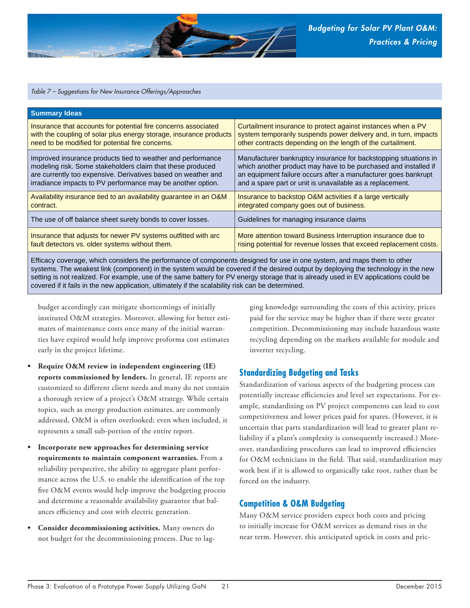

#### *Table 7 – Suggestions for New Insurance Offerings/Approaches*

| <b>Summary Ideas</b>                                               |                                                                    |
|--------------------------------------------------------------------|--------------------------------------------------------------------|
| Insurance that accounts for potential fire concerns associated     | Curtailment insurance to protect against instances when a PV       |
| with the coupling of solar plus energy storage, insurance products | system temporarily suspends power delivery and, in turn, impacts   |
| need to be modified for potential fire concerns.                   | other contracts depending on the length of the curtailment.        |
| Improved insurance products tied to weather and performance        | Manufacturer bankruptcy insurance for backstopping situations in   |
| modeling risk. Some stakeholders claim that these produced         | which another product may have to be purchased and installed if    |
| are currently too expensive. Derivatives based on weather and      | an equipment failure occurs after a manufacturer goes bankrupt     |
| irradiance impacts to PV performance may be another option.        | and a spare part or unit is unavailable as a replacement.          |
| Availability insurance tied to an availability guarantee in an O&M | Insurance to backstop O&M activities if a large vertically         |
| contract.                                                          | integrated company goes out of business.                           |
| The use of off balance sheet surety bonds to cover losses.         | Guidelines for managing insurance claims                           |
| Insurance that adjusts for newer PV systems outfitted with arc     | More attention toward Business Interruption insurance due to       |
| fault detectors vs. older systems without them.                    | rising potential for revenue losses that exceed replacement costs. |

Efficacy coverage, which considers the performance of components designed for use in one system, and maps them to other systems. The weakest link (component) in the system would be covered if the desired output by deploying the technology in the new setting is not realized. For example, use of the same battery for PV energy storage that is already used in EV applications could be covered if it fails in the new application, ultimately if the scalability risk can be determined.

budget accordingly can mitigate shortcomings of initially instituted O&M strategies. Moreover, allowing for better estimates of maintenance costs once many of the initial warranties have expired would help improve proforma cost estimates early in the project lifetime.

- **Require O&M review in independent engineering (IE) reports commissioned by lenders.** In general, IE reports are customized to different client needs and many do not contain a thorough review of a project's O&M strategy. While certain topics, such as energy production estimates, are commonly addressed, O&M is often overlooked; even when included, it represents a small sub-portion of the entire report.
- **Incorporate new approaches for determining service requirements to maintain component warranties.** From a reliability perspective, the ability to aggregate plant performance across the U.S. to enable the identification of the top five O&M events would help improve the budgeting process and determine a reasonable availability guarantee that balances efficiency and cost with electric generation.
- **Consider decommissioning activities.** Many owners do not budget for the decommissioning process. Due to lag-

ging knowledge surrounding the costs of this activity, prices paid for the service may be higher than if there were greater competition. Decommissioning may include hazardous waste recycling depending on the markets available for module and inverter recycling.

#### **Standardizing Budgeting and Tasks**

Standardization of various aspects of the budgeting process can potentially increase efficiencies and level set expectations. For example, standardizing on PV project components can lead to cost competitiveness and lower prices paid for spares. (However, it is uncertain that parts standardization will lead to greater plant reliability if a plant's complexity is consequently increased.) Moreover, standardizing procedures can lead to improved efficiencies for O&M technicians in the field. That said, standardization may work best if it is allowed to organically take root, rather than be forced on the industry.

#### **Competition & O&M Budgeting**

Many O&M service providers expect both costs and pricing to initially increase for O&M services as demand rises in the near term. However, this anticipated uptick in costs and pric-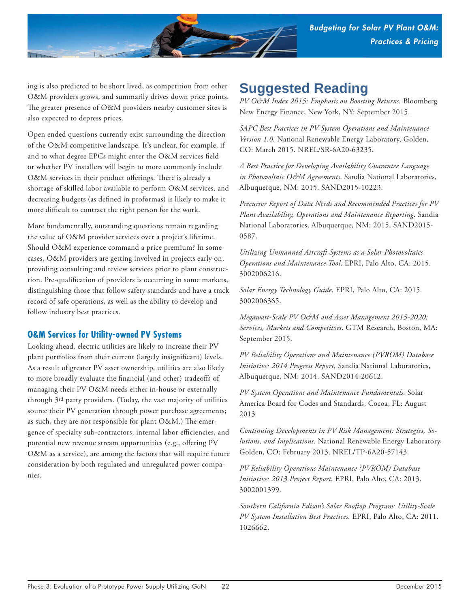

ing is also predicted to be short lived, as competition from other O&M providers grows, and summarily drives down price points. The greater presence of O&M providers nearby customer sites is also expected to depress prices.

Open ended questions currently exist surrounding the direction of the O&M competitive landscape. It's unclear, for example, if and to what degree EPCs might enter the O&M services field or whether PV installers will begin to more commonly include O&M services in their product offerings. There is already a shortage of skilled labor available to perform O&M services, and decreasing budgets (as defined in proformas) is likely to make it more difficult to contract the right person for the work.

More fundamentally, outstanding questions remain regarding the value of O&M provider services over a project's lifetime. Should O&M experience command a price premium? In some cases, O&M providers are getting involved in projects early on, providing consulting and review services prior to plant construction. Pre-qualification of providers is occurring in some markets, distinguishing those that follow safety standards and have a track record of safe operations, as well as the ability to develop and follow industry best practices.

#### **O&M Services for Utility-owned PV Systems**

Looking ahead, electric utilities are likely to increase their PV plant portfolios from their current (largely insignificant) levels. As a result of greater PV asset ownership, utilities are also likely to more broadly evaluate the financial (and other) tradeoffs of managing their PV O&M needs either in-house or externally through 3rd party providers. (Today, the vast majority of utilities source their PV generation through power purchase agreements; as such, they are not responsible for plant  $O\&M$ .) The emergence of specialty sub-contractors, internal labor efficiencies, and potential new revenue stream opportunities (e.g., offering PV O&M as a service), are among the factors that will require future consideration by both regulated and unregulated power companies.

# **Suggested Reading**

*PV O&M Index 2015: Emphasis on Boosting Returns.* Bloomberg New Energy Finance, New York, NY: September 2015.

*SAPC Best Practices in PV System Operations and Maintenance Version 1.0.* National Renewable Energy Laboratory, Golden, CO: March 2015. NREL/SR-6A20-63235.

*A Best Practice for Developing Availability Guarantee Language in Photovoltaic O&M Agreements*. Sandia National Laboratories, Albuquerque, NM: 2015. SAND2015-10223.

*Precursor Report of Data Needs and Recommended Practices for PV Plant Availability, Operations and Maintenance Reporting*. Sandia National Laboratories, Albuquerque, NM: 2015. SAND2015- 0587.

*Utilizing Unmanned Aircraft Systems as a Solar Photovoltaics Operations and Maintenance Tool*. EPRI, Palo Alto, CA: 2015. 3002006216.

*Solar Energy Technology Guide*. EPRI, Palo Alto, CA: 2015. 3002006365.

*Megawatt-Scale PV O&M and Asset Management 2015-2020: Services, Markets and Competitors*. GTM Research, Boston, MA: September 2015.

*PV Reliability Operations and Maintenance (PVROM) Database Initiative: 2014 Progress Report*, Sandia National Laboratories, Albuquerque, NM: 2014. SAND2014-20612.

*PV System Operations and Maintenance Fundamentals.* Solar America Board for Codes and Standards, Cocoa, FL: August 2013

*Continuing Developments in PV Risk Management: Strategies, Solutions, and Implications.* National Renewable Energy Laboratory, Golden, CO: February 2013. NREL/TP-6A20-57143.

*PV Reliability Operations Maintenance (PVROM) Database Initiative: 2013 Project Report.* EPRI, Palo Alto, CA: 2013. 3002001399.

*Southern California Edison's Solar Rooftop Program: Utility-Scale PV System Installation Best Practices.* EPRI, Palo Alto, CA: 2011. 1026662.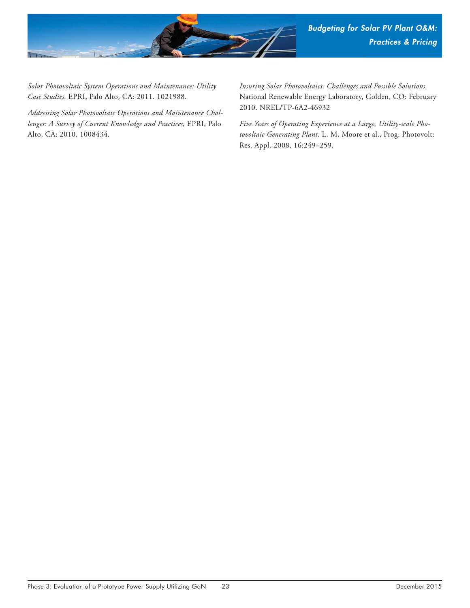

*Solar Photovoltaic System Operations and Maintenance: Utility Case Studies.* EPRI, Palo Alto, CA: 2011. 1021988.

*Addressing Solar Photovoltaic Operations and Maintenance Challenges: A Survey of Current Knowledge and Practices,* EPRI, Palo Alto, CA: 2010. 1008434.

*Insuring Solar Photovoltaics: Challenges and Possible Solutions.* National Renewable Energy Laboratory, Golden, CO: February 2010. NREL/TP-6A2-46932

*Five Years of Operating Experience at a Large, Utility-scale Photovoltaic Generating Plant*. L. M. Moore et al., Prog. Photovolt: Res. Appl. 2008, 16:249–259.